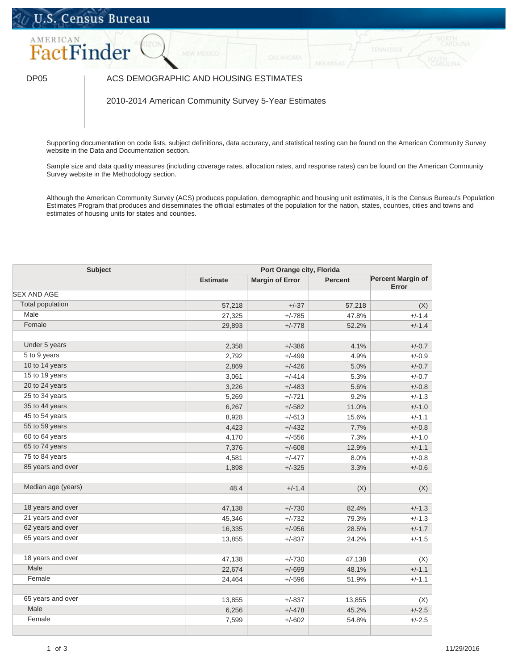## U.S. Census Bureau



## DP05 | ACS DEMOGRAPHIC AND HOUSING ESTIMATES

2010-2014 American Community Survey 5-Year Estimates

Supporting documentation on code lists, subject definitions, data accuracy, and statistical testing can be found on the American Community Survey website in the Data and Documentation section.

Sample size and data quality measures (including coverage rates, allocation rates, and response rates) can be found on the American Community Survey website in the Methodology section.

Although the American Community Survey (ACS) produces population, demographic and housing unit estimates, it is the Census Bureau's Population Estimates Program that produces and disseminates the official estimates of the population for the nation, states, counties, cities and towns and estimates of housing units for states and counties.

| <b>Subject</b>                         |                 | Port Orange city, Florida |                |                                   |  |
|----------------------------------------|-----------------|---------------------------|----------------|-----------------------------------|--|
|                                        | <b>Estimate</b> | <b>Margin of Error</b>    | <b>Percent</b> | <b>Percent Margin of</b><br>Error |  |
| <b>SEX AND AGE</b>                     |                 |                           |                |                                   |  |
| <b>Total population</b>                | 57,218          | $+/-37$                   | 57,218         | (X)                               |  |
| Male                                   | 27,325          | $+/-785$                  | 47.8%          | $+/-1.4$                          |  |
| Female                                 | 29,893          | $+/-778$                  | 52.2%          | $+/-1.4$                          |  |
| Under 5 years                          | 2,358           | $+/-386$                  | 4.1%           | $+/-0.7$                          |  |
| 5 to 9 years                           | 2,792           | $+/-499$                  | 4.9%           | $+/-0.9$                          |  |
| 10 to 14 years                         | 2,869           | $+/-426$                  | 5.0%           | $+/-0.7$                          |  |
| 15 to 19 years                         | 3,061           | $+/-414$                  | 5.3%           | $+/-0.7$                          |  |
| 20 to 24 years                         | 3,226           | $+/-483$                  | 5.6%           | $+/-0.8$                          |  |
| 25 to 34 years                         | 5,269           | $+/-721$                  | 9.2%           | $+/-1.3$                          |  |
| 35 to 44 years                         | 6,267           | $+/-582$                  | 11.0%          | $+/-1.0$                          |  |
| 45 to 54 years                         | 8,928           | $+/-613$                  | 15.6%          | $+/-1.1$                          |  |
| 55 to 59 years                         | 4,423           | $+/-432$                  | 7.7%           | $+/-0.8$                          |  |
| 60 to 64 years                         | 4,170           | $+/-556$                  | 7.3%           | $+/-1.0$                          |  |
| 65 to 74 years                         | 7,376           | $+/-608$                  | 12.9%          | $+/-1.1$                          |  |
| 75 to 84 years                         | 4,581           | $+/-477$                  | 8.0%           | $+/-0.8$                          |  |
| 85 years and over                      | 1,898           | $+/-325$                  | 3.3%           | $+/-0.6$                          |  |
|                                        |                 |                           |                |                                   |  |
| Median age (years)                     | 48.4            | $+/-1.4$                  | (X)            | (X)                               |  |
|                                        |                 |                           |                |                                   |  |
| 18 years and over                      | 47,138          | $+/-730$                  | 82.4%          | $+/-1.3$                          |  |
| 21 years and over<br>62 years and over | 45,346          | $+/-732$                  | 79.3%          | $+/-1.3$                          |  |
| 65 years and over                      | 16,335          | $+/-956$                  | 28.5%          | $+/-1.7$                          |  |
|                                        | 13,855          | $+/-837$                  | 24.2%          | $+/-1.5$                          |  |
| 18 years and over                      | 47,138          | $+/-730$                  | 47,138         | (X)                               |  |
| Male                                   | 22,674          | $+/-699$                  | 48.1%          | $+/-1.1$                          |  |
| Female                                 | 24,464          | $+/-596$                  | 51.9%          | $+/-1.1$                          |  |
|                                        |                 |                           |                |                                   |  |
| 65 years and over                      | 13,855          | $+/-837$                  | 13,855         | (X)                               |  |
| Male                                   | 6,256           | $+/-478$                  | 45.2%          | $+/-2.5$                          |  |
| Female                                 | 7,599           | $+/-602$                  | 54.8%          | $+/-2.5$                          |  |
|                                        |                 |                           |                |                                   |  |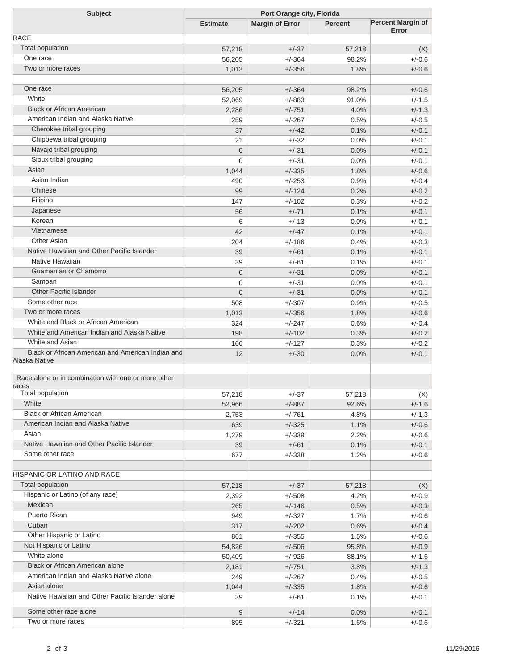| <b>Subject</b>                                                     | Port Orange city, Florida |                        |                |                          |  |
|--------------------------------------------------------------------|---------------------------|------------------------|----------------|--------------------------|--|
|                                                                    | <b>Estimate</b>           | <b>Margin of Error</b> | <b>Percent</b> | <b>Percent Margin of</b> |  |
| <b>RACE</b>                                                        |                           |                        |                | Error                    |  |
| <b>Total population</b>                                            | 57,218                    | $+/-37$                | 57,218         | (X)                      |  |
| One race                                                           | 56,205                    | $+/-364$               | 98.2%          | $+/-0.6$                 |  |
| Two or more races                                                  | 1,013                     | $+/-356$               | 1.8%           | $+/-0.6$                 |  |
| One race                                                           | 56,205                    | $+/-364$               | 98.2%          | $+/-0.6$                 |  |
| White                                                              | 52,069                    | $+/-883$               | 91.0%          | $+/-1.5$                 |  |
| <b>Black or African American</b>                                   | 2,286                     | $+/-751$               | 4.0%           | $+/-1.3$                 |  |
| American Indian and Alaska Native                                  | 259                       | $+/-267$               | 0.5%           | $+/-0.5$                 |  |
| Cherokee tribal grouping                                           | 37                        | $+/-42$                | 0.1%           | $+/-0.1$                 |  |
| Chippewa tribal grouping                                           | 21                        | $+/-32$                | 0.0%           | $+/-0.1$                 |  |
| Navajo tribal grouping                                             | $\mathbf 0$               | $+/-31$                | 0.0%           | $+/-0.1$                 |  |
| Sioux tribal grouping                                              | 0                         | $+/-31$                | 0.0%           | $+/-0.1$                 |  |
| Asian                                                              | 1,044                     | $+/-335$               | 1.8%           | $+/-0.6$                 |  |
| Asian Indian                                                       | 490                       | $+/-253$               | 0.9%           | $+/-0.4$                 |  |
| Chinese                                                            | 99                        | $+/-124$               | 0.2%           | $+/-0.2$                 |  |
| Filipino                                                           | 147                       | $+/-102$               | 0.3%           | $+/-0.2$                 |  |
| Japanese                                                           | 56                        | $+/-71$                | 0.1%           | $+/-0.1$                 |  |
| Korean                                                             | 6                         | $+/-13$                | 0.0%           | $+/-0.1$                 |  |
| Vietnamese                                                         | 42                        | $+/-47$                | 0.1%           | $+/-0.1$                 |  |
| <b>Other Asian</b>                                                 | 204                       | $+/-186$               | 0.4%           | $+/-0.3$                 |  |
| Native Hawaiian and Other Pacific Islander                         | 39                        | $+/-61$                | 0.1%           | $+/-0.1$                 |  |
| Native Hawaiian                                                    | 39                        | $+/-61$                | 0.1%           | $+/-0.1$                 |  |
| Guamanian or Chamorro                                              | 0                         | $+/-31$                | 0.0%           | $+/-0.1$                 |  |
| Samoan                                                             | 0                         | $+/-31$                | 0.0%           | $+/-0.1$                 |  |
| <b>Other Pacific Islander</b>                                      | $\overline{0}$            | $+/-31$                | 0.0%           | $+/-0.1$                 |  |
| Some other race                                                    | 508                       | $+/-307$               | 0.9%           | $+/-0.5$                 |  |
| Two or more races                                                  | 1,013                     | $+/-356$               | 1.8%           | $+/-0.6$                 |  |
| White and Black or African American                                | 324                       | $+/-247$               | 0.6%           | $+/-0.4$                 |  |
| White and American Indian and Alaska Native                        | 198                       | $+/-102$               | 0.3%           | $+/-0.2$                 |  |
| White and Asian                                                    | 166                       | $+/-127$               | 0.3%           | $+/-0.2$                 |  |
| Black or African American and American Indian and<br>Alaska Native | 12                        | $+/-30$                | 0.0%           | $+/-0.1$                 |  |
| Race alone or in combination with one or more other                |                           |                        |                |                          |  |
| races                                                              |                           |                        |                |                          |  |
| <b>Total population</b>                                            | 57,218                    | $+/-37$                | 57,218         | (X)                      |  |
| White                                                              | 52,966                    | $+/-887$               | 92.6%          | $+/-1.6$                 |  |
| <b>Black or African American</b>                                   | 2,753                     | $+/-761$               | 4.8%           | $+/-1.3$                 |  |
| American Indian and Alaska Native                                  | 639                       | $+/-325$               | 1.1%           | $+/-0.6$                 |  |
| Asian                                                              | 1,279                     | $+/-339$               | 2.2%           | $+/-0.6$                 |  |
| Native Hawaiian and Other Pacific Islander                         | 39                        | $+/-61$                | 0.1%           | $+/-0.1$                 |  |
| Some other race                                                    | 677                       | $+/-338$               | 1.2%           | $+/-0.6$                 |  |
| <b>HISPANIC OR LATINO AND RACE</b>                                 |                           |                        |                |                          |  |
| Total population                                                   | 57,218                    | $+/-37$                | 57,218         | (X)                      |  |
| Hispanic or Latino (of any race)                                   | 2,392                     | $+/-508$               | 4.2%           | $+/-0.9$                 |  |
| Mexican                                                            | 265                       | $+/-146$               | 0.5%           | $+/-0.3$                 |  |
| <b>Puerto Rican</b>                                                | 949                       | $+/-327$               | 1.7%           | $+/-0.6$                 |  |
| Cuban                                                              | 317                       | $+/-202$               | 0.6%           | $+/-0.4$                 |  |
| Other Hispanic or Latino                                           | 861                       | $+/-355$               | 1.5%           | $+/-0.6$                 |  |
| Not Hispanic or Latino                                             | 54,826                    | $+/-506$               | 95.8%          | $+/-0.9$                 |  |
| White alone                                                        | 50,409                    | $+/-926$               | 88.1%          | $+/-1.6$                 |  |
| <b>Black or African American alone</b>                             | 2,181                     | $+/-751$               | 3.8%           | $+/-1.3$                 |  |
| American Indian and Alaska Native alone                            | 249                       | $+/-267$               | 0.4%           | $+/-0.5$                 |  |
| Asian alone                                                        | 1,044                     | $+/-335$               | 1.8%           | $+/-0.6$                 |  |
| Native Hawaiian and Other Pacific Islander alone                   | 39                        | $+/-61$                | 0.1%           | $+/-0.1$                 |  |
| Some other race alone                                              | 9                         | $+/-14$                | 0.0%           | $+/-0.1$                 |  |
| Two or more races                                                  | 895                       | $+/-321$               | 1.6%           | $+/-0.6$                 |  |